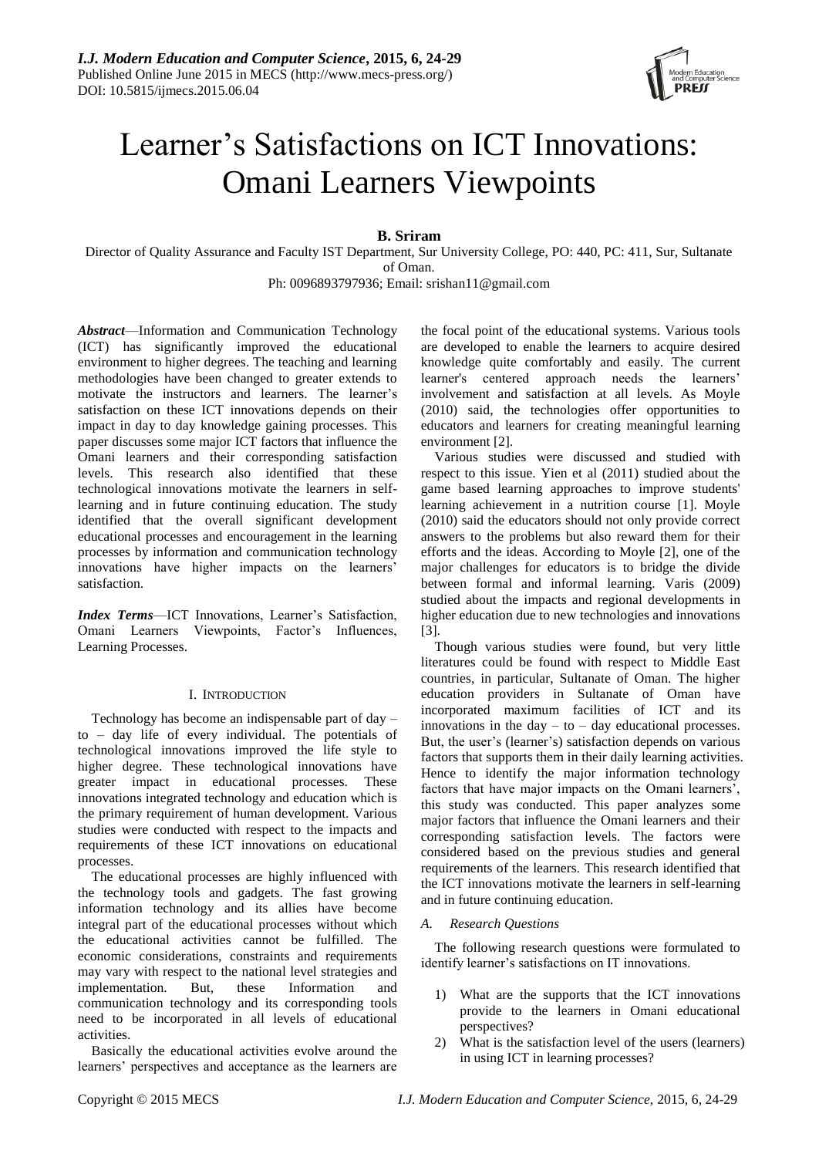

# Learner's Satisfactions on ICT Innovations: Omani Learners Viewpoints

**B. Sriram**

Director of Quality Assurance and Faculty IST Department, Sur University College, PO: 440, PC: 411, Sur, Sultanate of Oman.

Ph: 0096893797936; Email: srishan11@gmail.com

*Abstract*—Information and Communication Technology (ICT) has significantly improved the educational environment to higher degrees. The teaching and learning methodologies have been changed to greater extends to motivate the instructors and learners. The learner's satisfaction on these ICT innovations depends on their impact in day to day knowledge gaining processes. This paper discusses some major ICT factors that influence the Omani learners and their corresponding satisfaction levels. This research also identified that these technological innovations motivate the learners in selflearning and in future continuing education. The study identified that the overall significant development educational processes and encouragement in the learning processes by information and communication technology innovations have higher impacts on the learners' satisfaction.

*Index Terms*—ICT Innovations, Learner's Satisfaction, Omani Learners Viewpoints, Factor's Influences, Learning Processes.

# I. INTRODUCTION

Technology has become an indispensable part of day – to – day life of every individual. The potentials of technological innovations improved the life style to higher degree. These technological innovations have greater impact in educational processes. These innovations integrated technology and education which is the primary requirement of human development. Various studies were conducted with respect to the impacts and requirements of these ICT innovations on educational processes.

The educational processes are highly influenced with the technology tools and gadgets. The fast growing information technology and its allies have become integral part of the educational processes without which the educational activities cannot be fulfilled. The economic considerations, constraints and requirements may vary with respect to the national level strategies and implementation. But, these Information and communication technology and its corresponding tools need to be incorporated in all levels of educational activities.

Basically the educational activities evolve around the learners' perspectives and acceptance as the learners are

the focal point of the educational systems. Various tools are developed to enable the learners to acquire desired knowledge quite comfortably and easily. The current learner's centered approach needs the learners' involvement and satisfaction at all levels. As Moyle (2010) said, the technologies offer opportunities to educators and learners for creating meaningful learning environment [2].

Various studies were discussed and studied with respect to this issue. Yien et al (2011) studied about the game based learning approaches to improve students' learning achievement in a nutrition course [1]. Moyle (2010) said the educators should not only provide correct answers to the problems but also reward them for their efforts and the ideas. According to Moyle [2], one of the major challenges for educators is to bridge the divide between formal and informal learning. Varis (2009) studied about the impacts and regional developments in higher education due to new technologies and innovations [3].

Though various studies were found, but very little literatures could be found with respect to Middle East countries, in particular, Sultanate of Oman. The higher education providers in Sultanate of Oman have incorporated maximum facilities of ICT and its innovations in the day  $-$  to  $-$  day educational processes. But, the user's (learner's) satisfaction depends on various factors that supports them in their daily learning activities. Hence to identify the major information technology factors that have major impacts on the Omani learners', this study was conducted. This paper analyzes some major factors that influence the Omani learners and their corresponding satisfaction levels. The factors were considered based on the previous studies and general requirements of the learners. This research identified that the ICT innovations motivate the learners in self-learning and in future continuing education.

# *A. Research Questions*

The following research questions were formulated to identify learner's satisfactions on IT innovations.

- 1) What are the supports that the ICT innovations provide to the learners in Omani educational perspectives?
- 2) What is the satisfaction level of the users (learners) in using ICT in learning processes?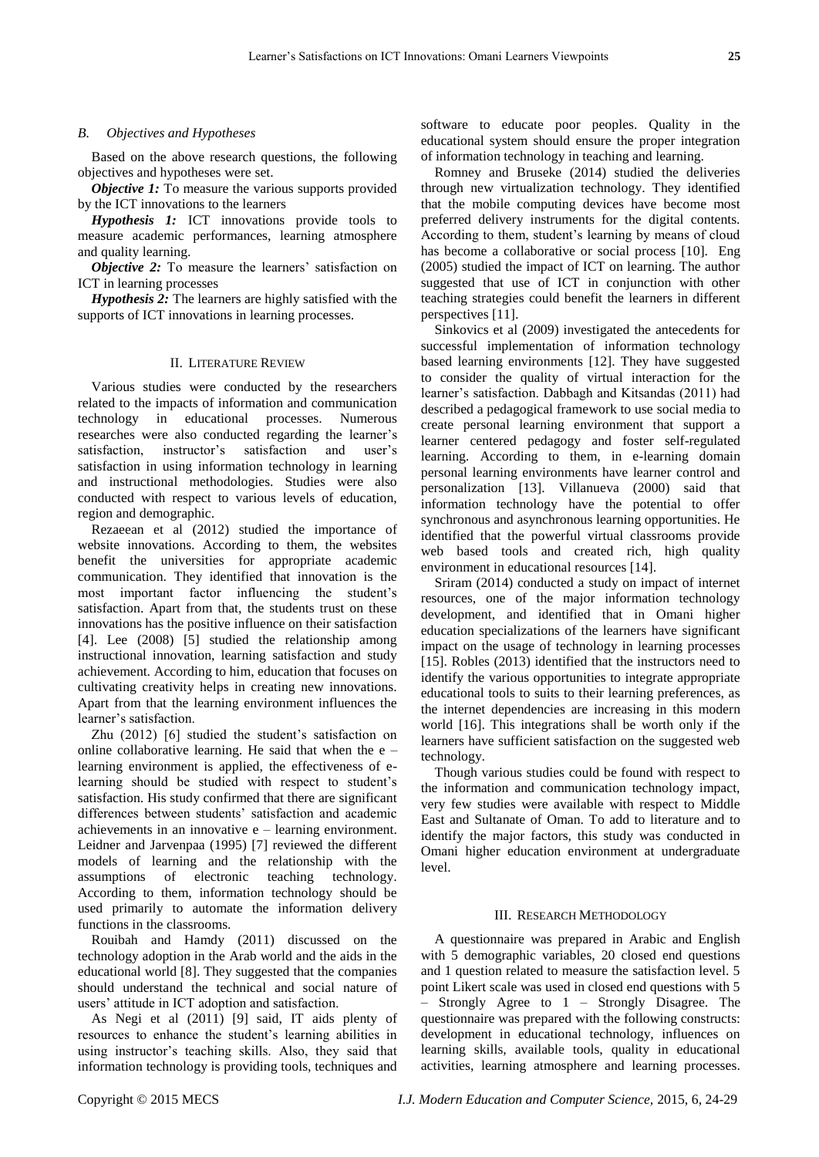#### *B. Objectives and Hypotheses*

Based on the above research questions, the following objectives and hypotheses were set.

*Objective 1:* To measure the various supports provided by the ICT innovations to the learners

*Hypothesis 1:* ICT innovations provide tools to measure academic performances, learning atmosphere and quality learning.

*Objective 2:* To measure the learners' satisfaction on ICT in learning processes

*Hypothesis 2:* The learners are highly satisfied with the supports of ICT innovations in learning processes.

### II. LITERATURE REVIEW

Various studies were conducted by the researchers related to the impacts of information and communication technology in educational processes. Numerous researches were also conducted regarding the learner's satisfaction, instructor's satisfaction and user's satisfaction in using information technology in learning and instructional methodologies. Studies were also conducted with respect to various levels of education, region and demographic.

Rezaeean et al (2012) studied the importance of website innovations. According to them, the websites benefit the universities for appropriate academic communication. They identified that innovation is the most important factor influencing the student's satisfaction. Apart from that, the students trust on these innovations has the positive influence on their satisfaction [4]. Lee (2008) [5] studied the relationship among instructional innovation, learning satisfaction and study achievement. According to him, education that focuses on cultivating creativity helps in creating new innovations. Apart from that the learning environment influences the learner's satisfaction.

Zhu (2012) [6] studied the student's satisfaction on online collaborative learning. He said that when the  $e$ learning environment is applied, the effectiveness of elearning should be studied with respect to student's satisfaction. His study confirmed that there are significant differences between students' satisfaction and academic achievements in an innovative e – learning environment. Leidner and Jarvenpaa (1995) [7] reviewed the different models of learning and the relationship with the assumptions of electronic teaching technology. According to them, information technology should be used primarily to automate the information delivery functions in the classrooms.

Rouibah and Hamdy (2011) discussed on the technology adoption in the Arab world and the aids in the educational world [8]. They suggested that the companies should understand the technical and social nature of users' attitude in ICT adoption and satisfaction.

As Negi et al (2011) [9] said, IT aids plenty of resources to enhance the student's learning abilities in using instructor's teaching skills. Also, they said that information technology is providing tools, techniques and software to educate poor peoples. Quality in the educational system should ensure the proper integration of information technology in teaching and learning.

Romney and Bruseke (2014) studied the deliveries through new virtualization technology. They identified that the mobile computing devices have become most preferred delivery instruments for the digital contents. According to them, student's learning by means of cloud has become a collaborative or social process [10]. Eng (2005) studied the impact of ICT on learning. The author suggested that use of ICT in conjunction with other teaching strategies could benefit the learners in different perspectives [11].

Sinkovics et al (2009) investigated the antecedents for successful implementation of information technology based learning environments [12]. They have suggested to consider the quality of virtual interaction for the learner's satisfaction. Dabbagh and Kitsandas (2011) had described a pedagogical framework to use social media to create personal learning environment that support a learner centered pedagogy and foster self-regulated learning. According to them, in e-learning domain personal learning environments have learner control and personalization [13]. Villanueva (2000) said that information technology have the potential to offer synchronous and asynchronous learning opportunities. He identified that the powerful virtual classrooms provide web based tools and created rich, high quality environment in educational resources [14].

Sriram (2014) conducted a study on impact of internet resources, one of the major information technology development, and identified that in Omani higher education specializations of the learners have significant impact on the usage of technology in learning processes [15]. Robles (2013) identified that the instructors need to identify the various opportunities to integrate appropriate educational tools to suits to their learning preferences, as the internet dependencies are increasing in this modern world [16]. This integrations shall be worth only if the learners have sufficient satisfaction on the suggested web technology.

Though various studies could be found with respect to the information and communication technology impact, very few studies were available with respect to Middle East and Sultanate of Oman. To add to literature and to identify the major factors, this study was conducted in Omani higher education environment at undergraduate level.

### III. RESEARCH METHODOLOGY

A questionnaire was prepared in Arabic and English with 5 demographic variables, 20 closed end questions and 1 question related to measure the satisfaction level. 5 point Likert scale was used in closed end questions with 5 – Strongly Agree to 1 – Strongly Disagree. The questionnaire was prepared with the following constructs: development in educational technology, influences on learning skills, available tools, quality in educational activities, learning atmosphere and learning processes.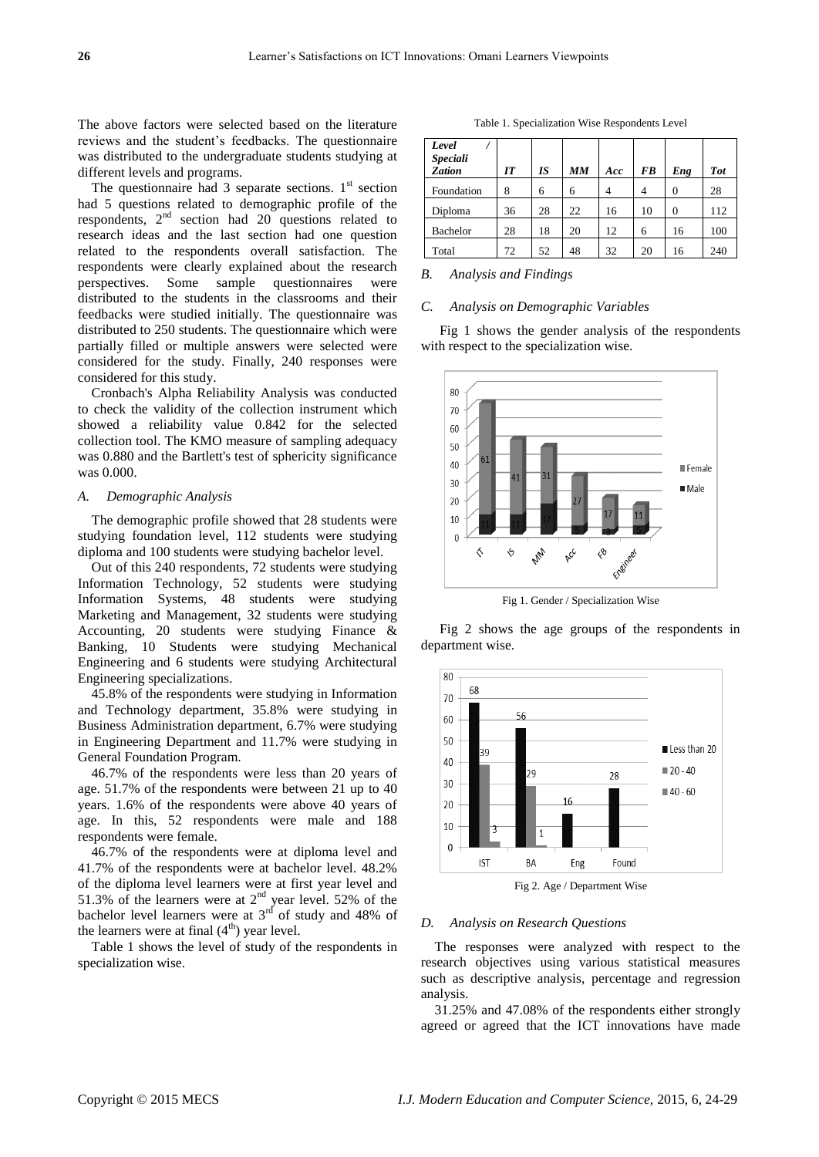The above factors were selected based on the literature reviews and the student's feedbacks. The questionnaire was distributed to the undergraduate students studying at different levels and programs.

The questionnaire had 3 separate sections.  $1<sup>st</sup>$  section had 5 questions related to demographic profile of the respondents, 2nd section had 20 questions related to research ideas and the last section had one question related to the respondents overall satisfaction. The respondents were clearly explained about the research perspectives. Some sample questionnaires were distributed to the students in the classrooms and their feedbacks were studied initially. The questionnaire was distributed to 250 students. The questionnaire which were partially filled or multiple answers were selected were considered for the study. Finally, 240 responses were considered for this study.

Cronbach's Alpha Reliability Analysis was conducted to check the validity of the collection instrument which showed a reliability value 0.842 for the selected collection tool. The KMO measure of sampling adequacy was 0.880 and the Bartlett's test of sphericity significance was 0.000.

## *A. Demographic Analysis*

The demographic profile showed that 28 students were studying foundation level, 112 students were studying diploma and 100 students were studying bachelor level.

Out of this 240 respondents, 72 students were studying Information Technology, 52 students were studying Information Systems, 48 students were studying Marketing and Management, 32 students were studying Accounting, 20 students were studying Finance & Banking, 10 Students were studying Mechanical Engineering and 6 students were studying Architectural Engineering specializations.

45.8% of the respondents were studying in Information and Technology department, 35.8% were studying in Business Administration department, 6.7% were studying in Engineering Department and 11.7% were studying in General Foundation Program.

46.7% of the respondents were less than 20 years of age. 51.7% of the respondents were between 21 up to 40 years. 1.6% of the respondents were above 40 years of age. In this, 52 respondents were male and 188 respondents were female.

46.7% of the respondents were at diploma level and 41.7% of the respondents were at bachelor level. 48.2% of the diploma level learners were at first year level and 51.3% of the learners were at  $2<sup>nd</sup>$  year level. 52% of the bachelor level learners were at  $3<sup>rd</sup>$  of study and 48% of the learners were at final  $(4<sup>th</sup>)$  year level.

Table 1 shows the level of study of the respondents in specialization wise.

Table 1. Specialization Wise Respondents Level

| Level<br><b>Speciali</b> |    |    |    |     |           |          |            |
|--------------------------|----|----|----|-----|-----------|----------|------------|
| <b>Zation</b>            | IT | IS | MM | Acc | <b>FB</b> | Eng      | <b>Tot</b> |
| Foundation               | 8  | 6  | 6  | 4   | 4         | 0        | 28         |
| Diploma                  | 36 | 28 | 22 | 16  | 10        | $\Omega$ | 112        |
| <b>Bachelor</b>          | 28 | 18 | 20 | 12  | 6         | 16       | 100        |
| Total                    | 72 | 52 | 48 | 32  | 20        | 16       | 240        |

#### *B. Analysis and Findings*

# *C. Analysis on Demographic Variables*

Fig 1 shows the gender analysis of the respondents with respect to the specialization wise.



Fig 1. Gender / Specialization Wise

Fig 2 shows the age groups of the respondents in department wise.



Fig 2. Age / Department Wise

# *D. Analysis on Research Questions*

The responses were analyzed with respect to the research objectives using various statistical measures such as descriptive analysis, percentage and regression analysis.

31.25% and 47.08% of the respondents either strongly agreed or agreed that the ICT innovations have made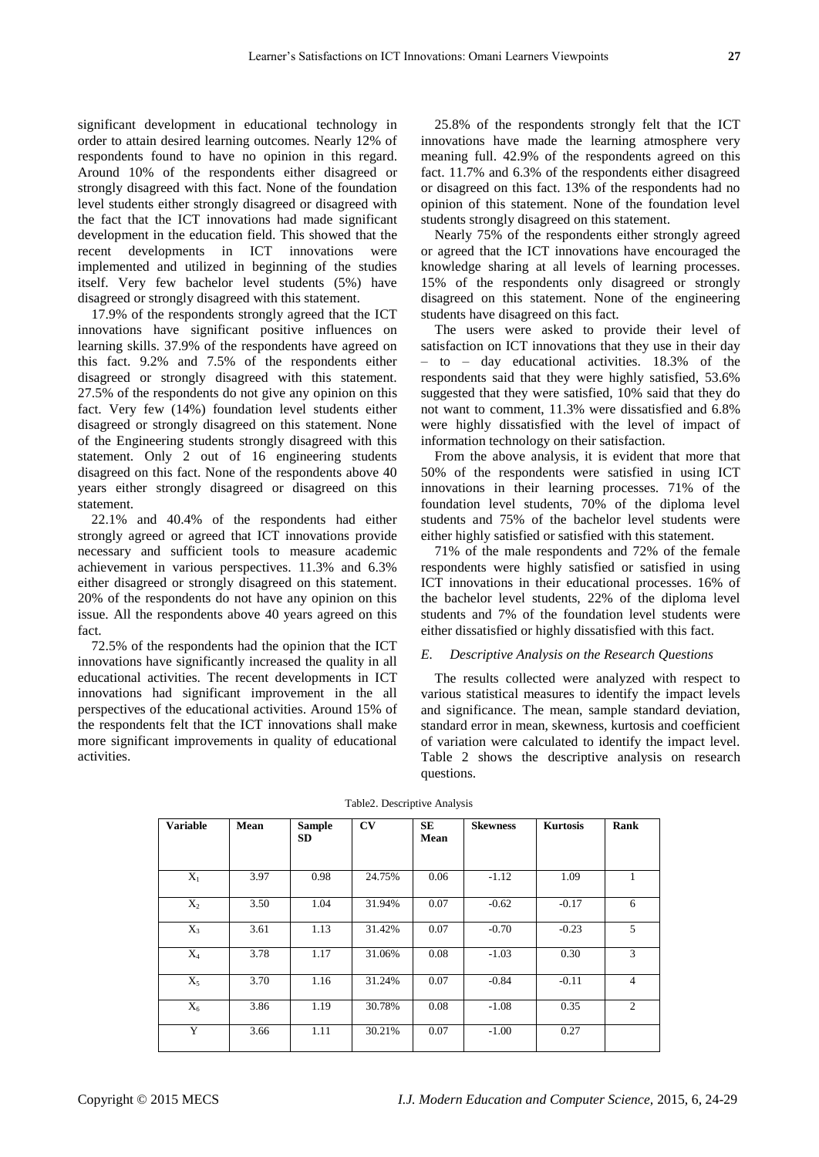significant development in educational technology in order to attain desired learning outcomes. Nearly 12% of respondents found to have no opinion in this regard. Around 10% of the respondents either disagreed or strongly disagreed with this fact. None of the foundation level students either strongly disagreed or disagreed with the fact that the ICT innovations had made significant development in the education field. This showed that the recent developments in ICT innovations were implemented and utilized in beginning of the studies itself. Very few bachelor level students (5%) have disagreed or strongly disagreed with this statement.

17.9% of the respondents strongly agreed that the ICT innovations have significant positive influences on learning skills. 37.9% of the respondents have agreed on this fact. 9.2% and 7.5% of the respondents either disagreed or strongly disagreed with this statement. 27.5% of the respondents do not give any opinion on this fact. Very few (14%) foundation level students either disagreed or strongly disagreed on this statement. None of the Engineering students strongly disagreed with this statement. Only 2 out of 16 engineering students disagreed on this fact. None of the respondents above 40 years either strongly disagreed or disagreed on this statement.

22.1% and 40.4% of the respondents had either strongly agreed or agreed that ICT innovations provide necessary and sufficient tools to measure academic achievement in various perspectives. 11.3% and 6.3% either disagreed or strongly disagreed on this statement. 20% of the respondents do not have any opinion on this issue. All the respondents above 40 years agreed on this fact.

72.5% of the respondents had the opinion that the ICT innovations have significantly increased the quality in all educational activities. The recent developments in ICT innovations had significant improvement in the all perspectives of the educational activities. Around 15% of the respondents felt that the ICT innovations shall make more significant improvements in quality of educational activities.

25.8% of the respondents strongly felt that the ICT innovations have made the learning atmosphere very meaning full. 42.9% of the respondents agreed on this fact. 11.7% and 6.3% of the respondents either disagreed or disagreed on this fact. 13% of the respondents had no opinion of this statement. None of the foundation level students strongly disagreed on this statement.

Nearly 75% of the respondents either strongly agreed or agreed that the ICT innovations have encouraged the knowledge sharing at all levels of learning processes. 15% of the respondents only disagreed or strongly disagreed on this statement. None of the engineering students have disagreed on this fact.

The users were asked to provide their level of satisfaction on ICT innovations that they use in their day – to – day educational activities. 18.3% of the respondents said that they were highly satisfied, 53.6% suggested that they were satisfied, 10% said that they do not want to comment, 11.3% were dissatisfied and 6.8% were highly dissatisfied with the level of impact of information technology on their satisfaction.

From the above analysis, it is evident that more that 50% of the respondents were satisfied in using ICT innovations in their learning processes. 71% of the foundation level students, 70% of the diploma level students and 75% of the bachelor level students were either highly satisfied or satisfied with this statement.

71% of the male respondents and 72% of the female respondents were highly satisfied or satisfied in using ICT innovations in their educational processes. 16% of the bachelor level students, 22% of the diploma level students and 7% of the foundation level students were either dissatisfied or highly dissatisfied with this fact.

# *E. Descriptive Analysis on the Research Questions*

The results collected were analyzed with respect to various statistical measures to identify the impact levels and significance. The mean, sample standard deviation, standard error in mean, skewness, kurtosis and coefficient of variation were calculated to identify the impact level. Table 2 shows the descriptive analysis on research questions.

| <b>Variable</b> | Mean | <b>Sample</b><br><b>SD</b> | CV     | SE<br>Mean | <b>Skewness</b> | <b>Kurtosis</b> | Rank                        |
|-----------------|------|----------------------------|--------|------------|-----------------|-----------------|-----------------------------|
| $X_1$           | 3.97 | 0.98                       | 24.75% | 0.06       | $-1.12$         | 1.09            |                             |
| $X_2$           | 3.50 | 1.04                       | 31.94% | 0.07       | $-0.62$         | $-0.17$         | 6                           |
| $X_3$           | 3.61 | 1.13                       | 31.42% | 0.07       | $-0.70$         | $-0.23$         | 5                           |
| $X_4$           | 3.78 | 1.17                       | 31.06% | 0.08       | $-1.03$         | 0.30            | 3                           |
| $X_5$           | 3.70 | 1.16                       | 31.24% | 0.07       | $-0.84$         | $-0.11$         | $\overline{4}$              |
| $X_6$           | 3.86 | 1.19                       | 30.78% | 0.08       | $-1.08$         | 0.35            | $\mathcal{D}_{\mathcal{L}}$ |
| Y               | 3.66 | 1.11                       | 30.21% | 0.07       | $-1.00$         | 0.27            |                             |

#### Table2. Descriptive Analysis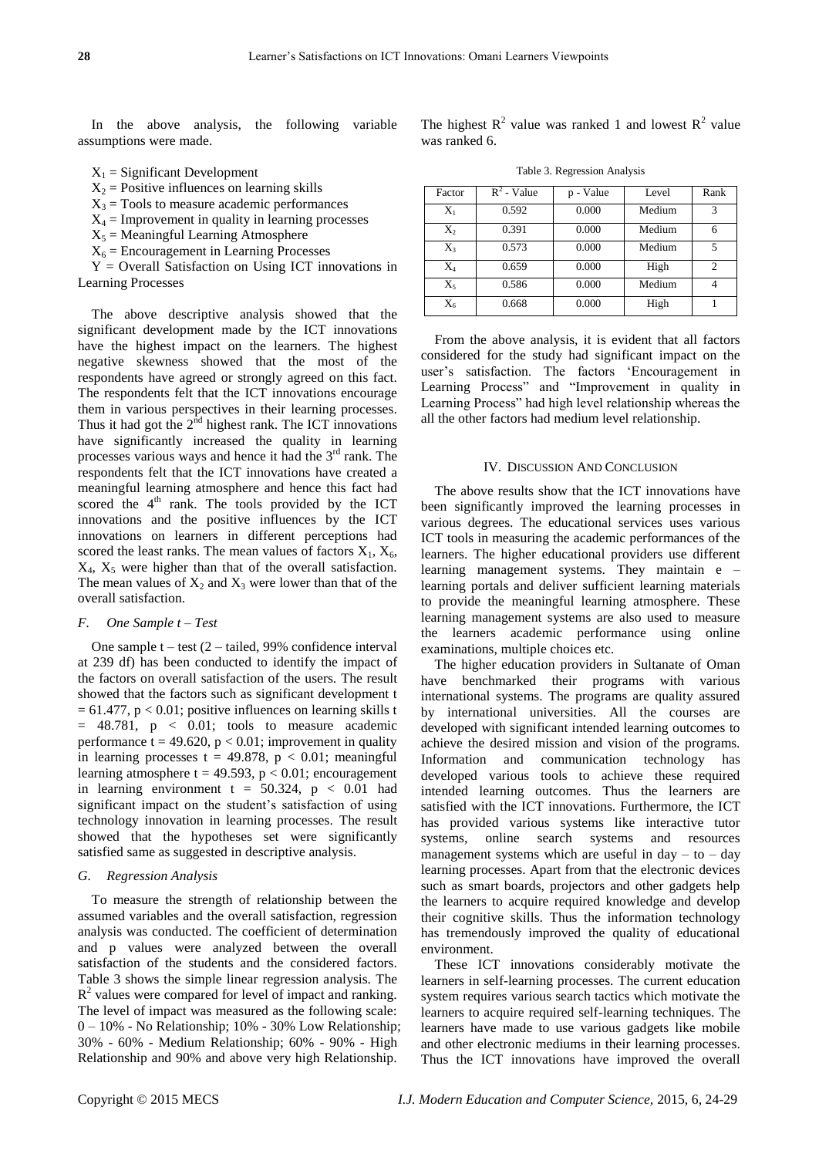In the above analysis, the following variable assumptions were made.

- $X_1$  = Significant Development
- $X_2$  = Positive influences on learning skills
- $X_3$  = Tools to measure academic performances
- $X_4$  = Improvement in quality in learning processes
- $X_5$  = Meaningful Learning Atmosphere
- $X_6$  = Encouragement in Learning Processes

 $Y =$  Overall Satisfaction on Using ICT innovations in Learning Processes

The above descriptive analysis showed that the significant development made by the ICT innovations have the highest impact on the learners. The highest negative skewness showed that the most of the respondents have agreed or strongly agreed on this fact. The respondents felt that the ICT innovations encourage them in various perspectives in their learning processes. Thus it had got the  $2<sup>nd</sup>$  highest rank. The ICT innovations have significantly increased the quality in learning processes various ways and hence it had the 3rd rank. The respondents felt that the ICT innovations have created a meaningful learning atmosphere and hence this fact had scored the  $4<sup>th</sup>$  rank. The tools provided by the ICT innovations and the positive influences by the ICT innovations on learners in different perceptions had scored the least ranks. The mean values of factors  $X_1, X_6$ ,  $X_4$ ,  $X_5$  were higher than that of the overall satisfaction. The mean values of  $X_2$  and  $X_3$  were lower than that of the overall satisfaction.

## *F. One Sample t – Test*

One sample  $t - \text{test } (2 - \text{tailed}, 99\% \text{ confidence interval})$ at 239 df) has been conducted to identify the impact of the factors on overall satisfaction of the users. The result showed that the factors such as significant development t  $= 61.477$ ,  $p < 0.01$ ; positive influences on learning skills t = 48.781, p < 0.01; tools to measure academic performance t = 49.620,  $p < 0.01$ ; improvement in quality in learning processes  $t = 49.878$ ,  $p < 0.01$ ; meaningful learning atmosphere  $t = 49.593$ ,  $p < 0.01$ ; encouragement in learning environment  $t = 50.324$ ,  $p < 0.01$  had significant impact on the student's satisfaction of using technology innovation in learning processes. The result showed that the hypotheses set were significantly satisfied same as suggested in descriptive analysis.

## *G. Regression Analysis*

To measure the strength of relationship between the assumed variables and the overall satisfaction, regression analysis was conducted. The coefficient of determination and p values were analyzed between the overall satisfaction of the students and the considered factors. Table 3 shows the simple linear regression analysis. The  $R<sup>2</sup>$  values were compared for level of impact and ranking. The level of impact was measured as the following scale: 0 – 10% - No Relationship; 10% - 30% Low Relationship; 30% - 60% - Medium Relationship; 60% - 90% - High Relationship and 90% and above very high Relationship.

The highest  $R^2$  value was ranked 1 and lowest  $R^2$  value was ranked 6.

Table 3. Regression Analysis

| Factor | $R^2$ - Value | p - Value | Level  | Rank |
|--------|---------------|-----------|--------|------|
| $X_1$  | 0.592         | 0.000     | Medium | 3    |
| $X_2$  | 0.391         | 0.000     | Medium |      |
| $X_3$  | 0.573         | 0.000     | Medium | 5    |
| $X_4$  | 0.659         | 0.000     | High   | 2    |
| $X_5$  | 0.586         | 0.000     | Medium |      |
| $X_6$  | 0.668         | 0.000     | High   |      |

From the above analysis, it is evident that all factors considered for the study had significant impact on the user's satisfaction. The factors 'Encouragement in Learning Process" and "Improvement in quality in Learning Process" had high level relationship whereas the all the other factors had medium level relationship.

## IV. DISCUSSION AND CONCLUSION

The above results show that the ICT innovations have been significantly improved the learning processes in various degrees. The educational services uses various ICT tools in measuring the academic performances of the learners. The higher educational providers use different learning management systems. They maintain e – learning portals and deliver sufficient learning materials to provide the meaningful learning atmosphere. These learning management systems are also used to measure the learners academic performance using online examinations, multiple choices etc.

The higher education providers in Sultanate of Oman have benchmarked their programs with various international systems. The programs are quality assured by international universities. All the courses are developed with significant intended learning outcomes to achieve the desired mission and vision of the programs. Information and communication technology has developed various tools to achieve these required intended learning outcomes. Thus the learners are satisfied with the ICT innovations. Furthermore, the ICT has provided various systems like interactive tutor systems, online search systems and resources management systems which are useful in day  $-$  to  $-$  day learning processes. Apart from that the electronic devices such as smart boards, projectors and other gadgets help the learners to acquire required knowledge and develop their cognitive skills. Thus the information technology has tremendously improved the quality of educational environment.

These ICT innovations considerably motivate the learners in self-learning processes. The current education system requires various search tactics which motivate the learners to acquire required self-learning techniques. The learners have made to use various gadgets like mobile and other electronic mediums in their learning processes. Thus the ICT innovations have improved the overall